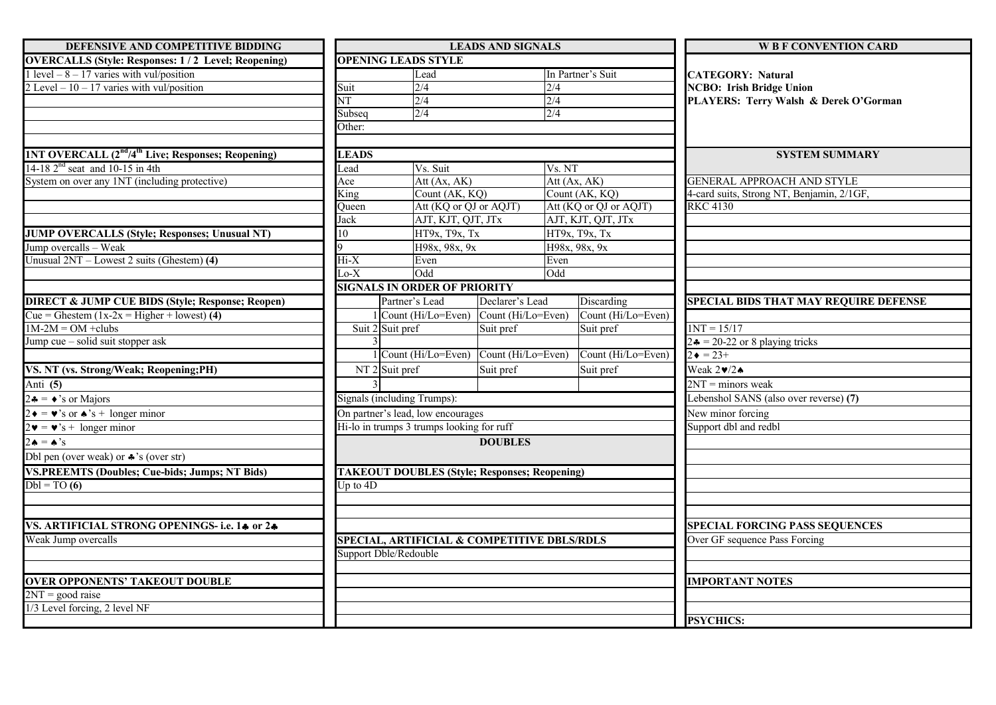| DEFENSIVE AND COMPETITIVE BIDDING                                              |                                             | <b>LEADS AND SIGNALS</b>                             |                 |                        | <b>WE F CONVENTION CARD</b>                  |  |
|--------------------------------------------------------------------------------|---------------------------------------------|------------------------------------------------------|-----------------|------------------------|----------------------------------------------|--|
| <b>OVERCALLS (Style: Responses: 1/2 Level; Reopening)</b>                      |                                             | <b>OPENING LEADS STYLE</b>                           |                 |                        |                                              |  |
| 1 level $-8 - 17$ varies with vul/position                                     |                                             | Lead                                                 |                 | In Partner's Suit      | <b>CATEGORY: Natural</b>                     |  |
| 2 Level $-10 - 17$ varies with vul/position                                    | Suit                                        | 2/4                                                  |                 | 2/4                    | <b>NCBO: Irish Bridge Union</b>              |  |
|                                                                                | NT                                          | 2/4                                                  |                 | 2/4                    | PLAYERS: Terry Walsh & Derek O'Gorman        |  |
|                                                                                | Subseq                                      | 2/4                                                  |                 | 2/4                    |                                              |  |
|                                                                                | Other:                                      |                                                      |                 |                        |                                              |  |
|                                                                                |                                             |                                                      |                 |                        |                                              |  |
| <b>1NT OVERCALL (2<sup>nd</sup>/4<sup>th</sup> Live; Responses; Reopening)</b> | <b>LEADS</b>                                |                                                      |                 |                        | <b>SYSTEM SUMMARY</b>                        |  |
| 14-18 $2nd$ seat and 10-15 in 4th                                              | Lead                                        | Vs. Suit                                             |                 | Vs. NT                 |                                              |  |
| System on over any 1NT (including protective)                                  | Ace                                         | Att $(Ax, AK)$                                       |                 | Att $(Ax, AK)$         | <b>GENERAL APPROACH AND STYLE</b>            |  |
|                                                                                | King                                        | Count (AK, KQ)                                       |                 | Count (AK, KQ)         | 4-card suits, Strong NT, Benjamin, 2/1GF,    |  |
|                                                                                | Queen                                       | Att (KQ or QJ or AQJT)                               |                 | Att (KQ or QJ or AQJT) | <b>RKC 4130</b>                              |  |
|                                                                                | Jack                                        | AJT, KJT, QJT, JTx                                   |                 | AJT, KJT, QJT, JTx     |                                              |  |
| <b>JUMP OVERCALLS (Style; Responses; Unusual NT)</b>                           | 10                                          | НТ9х, Т9х, Тх                                        |                 | НТ9х, Т9х, Тх          |                                              |  |
| Jump overcalls - Weak                                                          |                                             | H98x, 98x, 9x                                        |                 | H98x, 98x, 9x          |                                              |  |
| Unusual $2NT - Lowest 2 suits$ (Ghestem) (4)                                   | $Hi-X$                                      | Even                                                 |                 | Even                   |                                              |  |
|                                                                                | $Lo-X$                                      | Odd                                                  |                 | Odd                    |                                              |  |
|                                                                                |                                             | <b>SIGNALS IN ORDER OF PRIORITY</b>                  |                 |                        |                                              |  |
| <b>DIRECT &amp; JUMP CUE BIDS (Style; Response; Reopen)</b>                    |                                             | Partner's Lead                                       | Declarer's Lead | Discarding             | <b>SPECIAL BIDS THAT MAY REQUIRE DEFENSE</b> |  |
| Cue = Ghestem $(1x-2x)$ = Higher + lowest) (4)                                 |                                             | $1$ Count (Hi/Lo=Even) Count (Hi/Lo=Even)            |                 | Count (Hi/Lo=Even)     |                                              |  |
| $1M-2M = OM + clubs$                                                           |                                             | Suit 2 Suit pref                                     | Suit pref       | Suit pref              | $1NT = 15/17$                                |  |
| Jump cue - solid suit stopper ask                                              |                                             |                                                      |                 |                        | $2\bullet = 20-22$ or 8 playing tricks       |  |
|                                                                                |                                             | 1 Count (Hi/Lo=Even) Count (Hi/Lo=Even)              |                 | Count (Hi/Lo=Even)     | $2 \bullet = 23 +$                           |  |
| VS. NT (vs. Strong/Weak; Reopening;PH)                                         |                                             | NT <sub>2</sub> Suit pref                            | Suit pref       | Suit pref              | Weak $2\ntriangleright/2\spadesuit$          |  |
| Anti (5)                                                                       |                                             |                                                      |                 |                        | $2NT =$ minors weak                          |  |
| $2 \cdot \bullet = \bullet$ 's or Majors                                       |                                             | Signals (including Trumps):                          |                 |                        | Lebenshol SANS (also over reverse) (7)       |  |
| $2 \bullet = \bullet$ 's or $\bullet$ 's + longer minor                        |                                             | On partner's lead, low encourages                    |                 |                        | New minor forcing                            |  |
| $2\mathbf{v} = \mathbf{v}$ 's + longer minor                                   |                                             | Hi-lo in trumps 3 trumps looking for ruff            |                 |                        | Support dbl and redbl                        |  |
| $2 \cdot = \cdot$ 's                                                           |                                             |                                                      | <b>DOUBLES</b>  |                        |                                              |  |
| Dbl pen (over weak) or $\clubsuit$ 's (over str)                               |                                             |                                                      |                 |                        |                                              |  |
| <b>VS.PREEMTS (Doubles; Cue-bids; Jumps; NT Bids)</b>                          |                                             | <b>TAKEOUT DOUBLES (Style; Responses; Reopening)</b> |                 |                        |                                              |  |
| $Dbl = TO(6)$                                                                  | Up to $4D$                                  |                                                      |                 |                        |                                              |  |
|                                                                                |                                             |                                                      |                 |                        |                                              |  |
|                                                                                |                                             |                                                      |                 |                        |                                              |  |
| VS. ARTIFICIAL STRONG OPENINGS- i.e. 14 or 24                                  |                                             |                                                      |                 |                        | <b>SPECIAL FORCING PASS SEQUENCES</b>        |  |
| Weak Jump overcalls                                                            | SPECIAL, ARTIFICIAL & COMPETITIVE DBLS/RDLS |                                                      |                 |                        | Over GF sequence Pass Forcing                |  |
|                                                                                |                                             | Support Dble/Redouble                                |                 |                        |                                              |  |
|                                                                                |                                             |                                                      |                 |                        |                                              |  |
| <b>OVER OPPONENTS' TAKEOUT DOUBLE</b>                                          |                                             |                                                      |                 |                        | <b>IMPORTANT NOTES</b>                       |  |
| $2NT = good raise$                                                             |                                             |                                                      |                 |                        |                                              |  |
| 1/3 Level forcing, 2 level NF                                                  |                                             |                                                      |                 |                        |                                              |  |
|                                                                                |                                             |                                                      |                 |                        | <b>PSYCHICS:</b>                             |  |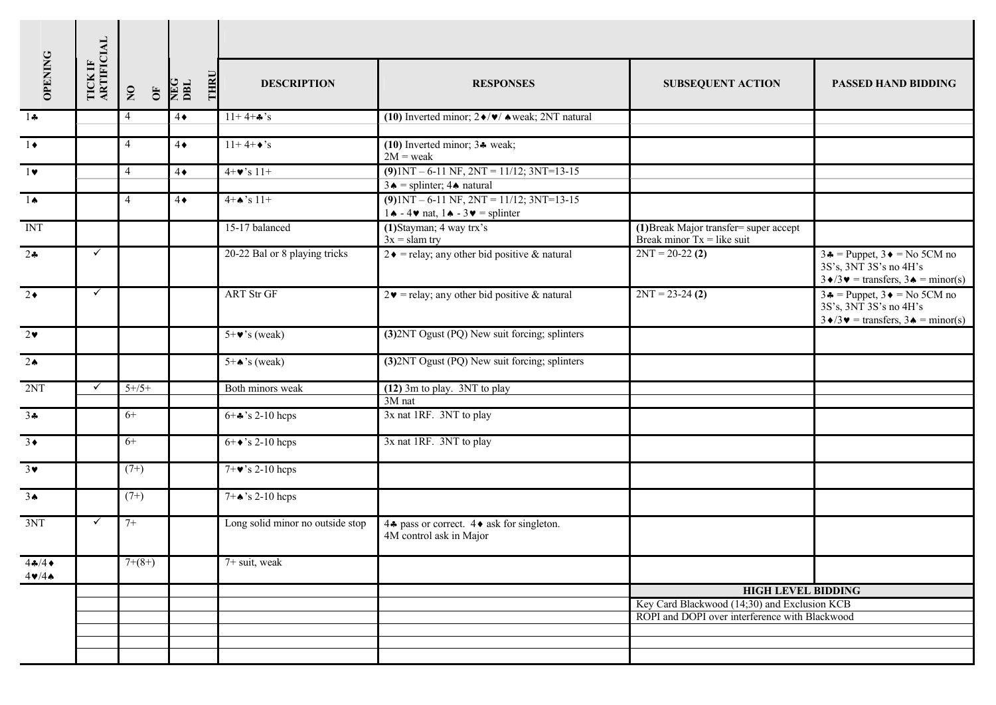|                       |                       |                                     | THRU<br>NEG<br>DBL       |                                  |                                                                                                                                     |                                                                        |                                                                       |  |  |
|-----------------------|-----------------------|-------------------------------------|--------------------------|----------------------------------|-------------------------------------------------------------------------------------------------------------------------------------|------------------------------------------------------------------------|-----------------------------------------------------------------------|--|--|
| OPENING               | TICK IF<br>ARTIFICIAL | $\overline{\mathbf{S}}$<br>$\sigma$ |                          | <b>DESCRIPTION</b>               | <b>RESPONSES</b>                                                                                                                    | <b>SUBSEQUENT ACTION</b>                                               | <b>PASSED HAND BIDDING</b>                                            |  |  |
| $1 -$                 |                       | 4                                   | $11+4+A's$<br>$4\bullet$ |                                  | (10) Inverted minor; $2\blacklozenge/\blacktriangledown/$ $\blacktriangle$ weak; 2NT natural                                        |                                                                        |                                                                       |  |  |
| $1 \bullet$           |                       | $\overline{4}$                      | $4\bullet$               | $\overline{11+4+}\bullet$ 's     | $(10)$ Inverted minor; $3*$ weak;<br>$2M$ = weak                                                                                    |                                                                        |                                                                       |  |  |
| $1$ $\vee$            |                       | $\overline{4}$                      | $4\bullet$               | $4 + \bullet$ 's 11+             | $(9)1NT - 6-11 NF$ , $2NT = 11/12$ ; $3NT=13-15$<br>$3 \triangle$ = splinter; $4 \triangle$ natural                                 |                                                                        |                                                                       |  |  |
| $1 \spadesuit$        |                       | $\overline{4}$                      | $4\bullet$               | $4+A$ 's 11+                     | $(9)1NT - 6-11 NF$ , $2NT = 11/12$ ; $3NT=13-15$<br>$1 \triangle -4 \triangleright$ nat, $1 \triangle -3 \triangleright =$ splinter |                                                                        |                                                                       |  |  |
| <b>INT</b>            |                       |                                     |                          | 15-17 balanced                   | (1) Stayman; 4 way trx's<br>$3x =$ slam try                                                                                         | (1) Break Major transfer= super accept<br>Break minor $Tx = like$ suit |                                                                       |  |  |
| $2 - 2$               | $\checkmark$          |                                     |                          | 20-22 Bal or 8 playing tricks    | $2 \cdot =$ relay; any other bid positive & natural                                                                                 | $2NT = 20-22(2)$                                                       | $3\bullet$ = Puppet, $3\bullet$ = No 5CM no<br>3S's, 3NT 3S's no 4H's |  |  |
| $2\bullet$            | $\checkmark$          |                                     |                          | <b>ART Str GF</b>                | $2\blacktriangleright$ = relay; any other bid positive & natural                                                                    | $2NT = 23-24(2)$                                                       | $3\bullet$ = Puppet, $3\bullet$ = No 5CM no<br>3S's, 3NT 3S's no 4H's |  |  |
| $2\bullet$            |                       |                                     |                          | $5+\vee$ 's (weak)               | (3) 2NT Ogust (PQ) New suit forcing; splinters                                                                                      |                                                                        |                                                                       |  |  |
| $2 \triangle$         |                       |                                     |                          | $5 + \bullet$ 's (weak)          | (3) 2NT Ogust (PQ) New suit forcing; splinters                                                                                      |                                                                        |                                                                       |  |  |
| 2NT                   | $\checkmark$          | $5+/5+$                             |                          | Both minors weak                 | (12) 3m to play. 3NT to play<br>3M nat                                                                                              |                                                                        |                                                                       |  |  |
| $3 +$                 |                       | $6+$                                |                          | $6 + 3$ 's 2-10 heps             | 3x nat 1RF. 3NT to play                                                                                                             |                                                                        |                                                                       |  |  |
| $3\bullet$            |                       | $6+$                                |                          | $6 + \rightarrow$ 's 2-10 hcps   | 3x nat 1RF. 3NT to play                                                                                                             |                                                                        |                                                                       |  |  |
| $3\blacktriangledown$ |                       | $(7+)$                              |                          | $7+\vee$ 's 2-10 hcps            |                                                                                                                                     |                                                                        |                                                                       |  |  |
| 3 <sub>•</sub>        |                       | $(7+)$                              |                          | $7 + \spadesuit$ 's 2-10 hcps    |                                                                                                                                     |                                                                        |                                                                       |  |  |
| 3NT                   | $\checkmark$          | $7+$                                |                          | Long solid minor no outside stop | 44 pass or correct. $4 \bullet$ ask for singleton.<br>4M control ask in Major                                                       |                                                                        |                                                                       |  |  |
| 44/4<br>$4 \cdot 4$   |                       | $7+(8+)$                            |                          | 7+ suit, weak                    |                                                                                                                                     |                                                                        |                                                                       |  |  |
|                       |                       |                                     |                          |                                  |                                                                                                                                     | <b>HIGH LEVEL BIDDING</b>                                              |                                                                       |  |  |
|                       |                       |                                     |                          |                                  |                                                                                                                                     | Key Card Blackwood (14;30) and Exclusion KCB                           |                                                                       |  |  |
|                       |                       |                                     |                          |                                  |                                                                                                                                     |                                                                        | ROPI and DOPI over interference with Blackwood                        |  |  |
|                       |                       |                                     |                          |                                  |                                                                                                                                     |                                                                        |                                                                       |  |  |
|                       |                       |                                     |                          |                                  |                                                                                                                                     |                                                                        |                                                                       |  |  |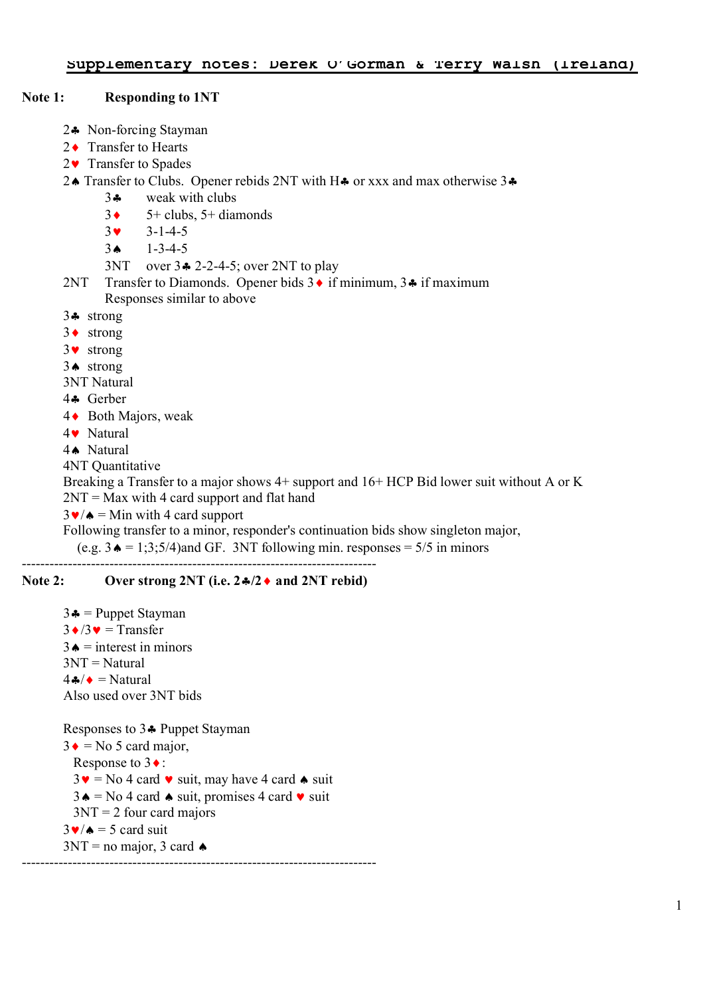### **Note 1: Responding to 1NT**

- 2§ Non-forcing Stayman
- 2 ♦ Transfer to Hearts
- 2 **▼** Transfer to Spades
- 24 Transfer to Clubs. Opener rebids 2NT with H $\clubsuit$  or xxx and max otherwise 3 $\clubsuit$ 
	- 3§ weak with clubs
	- $3 \leftarrow 5 + \text{clubs}$ ,  $5 + \text{diamonds}$
	- $3 \times 3 1 4 5$
	- $3 \bullet 1 3 4 5$
	- 3NT over  $3\div 2$ -2-4-5; over 2NT to play
- 2NT Transfer to Diamonds. Opener bids  $3 \cdot \text{if minimum}, 3 \cdot \text{if maximum}$ Responses similar to above
- 3§ strong
- $3 \cdot \text{strong}$
- 3© strong
- 3ª strong
- 3NT Natural
- 4§ Gerber
- 4 ► Both Majors, weak
- 4© Natural
- 4ª Natural

4NT Quantitative

Breaking a Transfer to a major shows 4+ support and 16+ HCP Bid lower suit without A or K  $2NT = Max with 4 card support and flat hand$ 

 $3\blacktriangleright/\blacktriangle$  = Min with 4 card support

Following transfer to a minor, responder's continuation bids show singleton major,

(e.g.  $3 \triangleq 1$ ; 3;5/4)and GF. 3NT following min. responses = 5/5 in minors

### **Note 2: Over strong 2NT (i.e. 2** $\frac{4}{2}$  **and 2NT rebid)**

-----------------------------------------------------------------------------

 $3\clubsuit$  = Puppet Stayman  $3 \cdot 3 \cdot 3 =$ Transfer  $3\triangle$  = interest in minors 3NT = Natural  $4 \cdot \sqrt{ }$  = Natural Also used over 3NT bids Responses to 34 Puppet Stayman  $3 \bullet$  = No 5 card major, Response to  $3 \cdot$ :  $3\bullet$  = No 4 card  $\bullet$  suit, may have 4 card  $\bullet$  suit  $3 \triangle =$  No 4 card  $\triangle$  suit, promises 4 card  $\triangledown$  suit

 $3NT = 2$  four card majors

 $3\blacktriangleright/\blacktriangle$  = 5 card suit

 $3NT = no major, 3 card$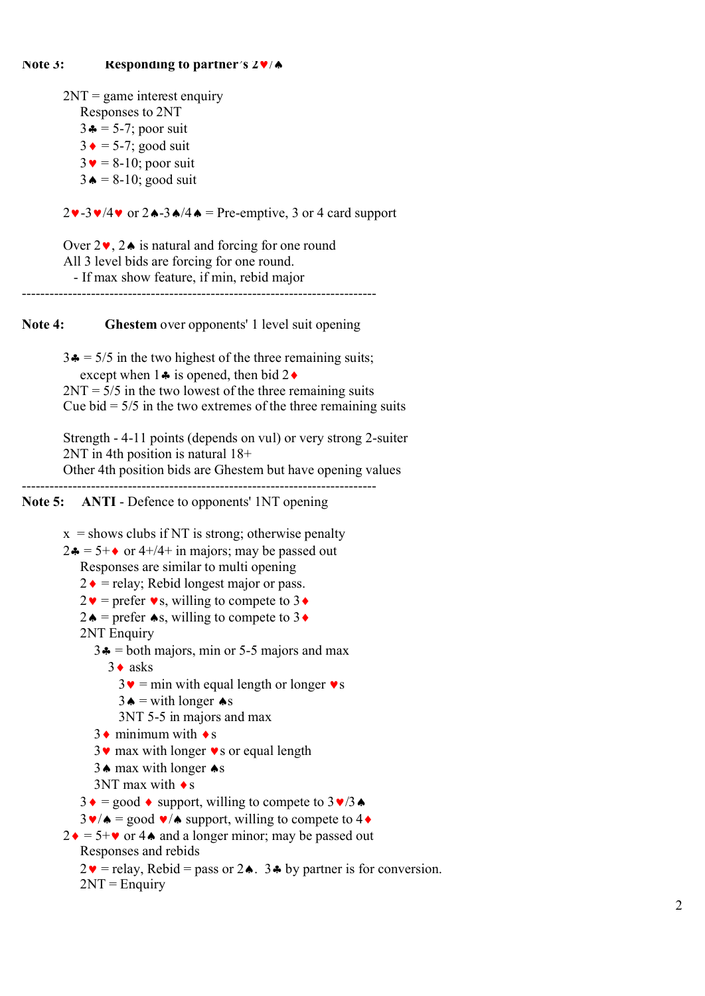$2NT = game$  interest enquiry

Responses to 2NT

 $3\clubsuit$  = 5-7; poor suit

 $3 \div 5-7$ ; good suit

 $3\blacktriangledown = 8-10$ ; poor suit

 $3 \triangle = 8-10$ ; good suit

 $2\mathbf{v}$ -3 $\mathbf{v}/4\mathbf{v}$  or  $2\mathbf{A}-3\mathbf{A}/4\mathbf{A}$  = Pre-emptive, 3 or 4 card support

Over  $2\vee$ ,  $2\wedge$  is natural and forcing for one round All 3 level bids are forcing for one round. - If max show feature, if min, rebid major -----------------------------------------------------------------------------

**Note 4: Ghestem** over opponents' 1 level suit opening

 $3\clubsuit$  = 5/5 in the two highest of the three remaining suits; except when  $1\clubsuit$  is opened, then bid  $2\spadesuit$  $2NT = 5/5$  in the two lowest of the three remaining suits

Cue bid  $= 5/5$  in the two extremes of the three remaining suits

Strength - 4-11 points (depends on vul) or very strong 2-suiter 2NT in 4th position is natural 18+

Other 4th position bids are Ghestem but have opening values -----------------------------------------------------------------------------

**Note 5: ANTI** - Defence to opponents' 1NT opening

 $x =$ shows clubs if NT is strong; otherwise penalty

 $2\clubsuit = 5+\diamond$  or 4+/4+ in majors; may be passed out Responses are similar to multi opening

 $2 \cdot \bullet$  = relay; Rebid longest major or pass.

 $2\mathbf{v}$  = prefer  $\mathbf{v}$ s, willing to compete to 3 $\mathbf{\triangleleft}$ 

 $2\bullet$  = prefer  $\bullet$ s, willing to compete to 3 $\bullet$ 

2NT Enquiry

 $3\bullet$  = both majors, min or 5-5 majors and max

 $3 \cdot$  asks

- $3\mathbf{v}$  = min with equal length or longer  $\mathbf{v}$  s
- $3 \triangle =$  with longer  $\triangle$ s

3NT 5-5 in majors and max

 $3 \cdot \text{minimum with } \cdot \text{s}$ 

 $3\vee$  max with longer  $\vee$ s or equal length

 $3 \triangle$  max with longer  $\triangle$ s

 $3NT$  max with  $\bullet s$ 

 $3 \cdot = \text{good} \cdot \text{support}$ , willing to compete to  $3 \cdot 73 \cdot$ 

 $3\blacktriangleright/\blacktriangle$  = good  $\blacktriangleright/\blacktriangle$  support, willing to compete to 4 $\blacklozenge$ 

```
2 \cdot = 5 + \cdot \cdot \cdot or 4 \cdot \cdot and a longer minor; may be passed out
    Responses and rebids
```

```
2\mathbf{v} = relay, Rebid = pass or 2\mathbf{\bullet}. 3\mathbf{\bullet} by partner is for conversion.
2NT =Enquiry
```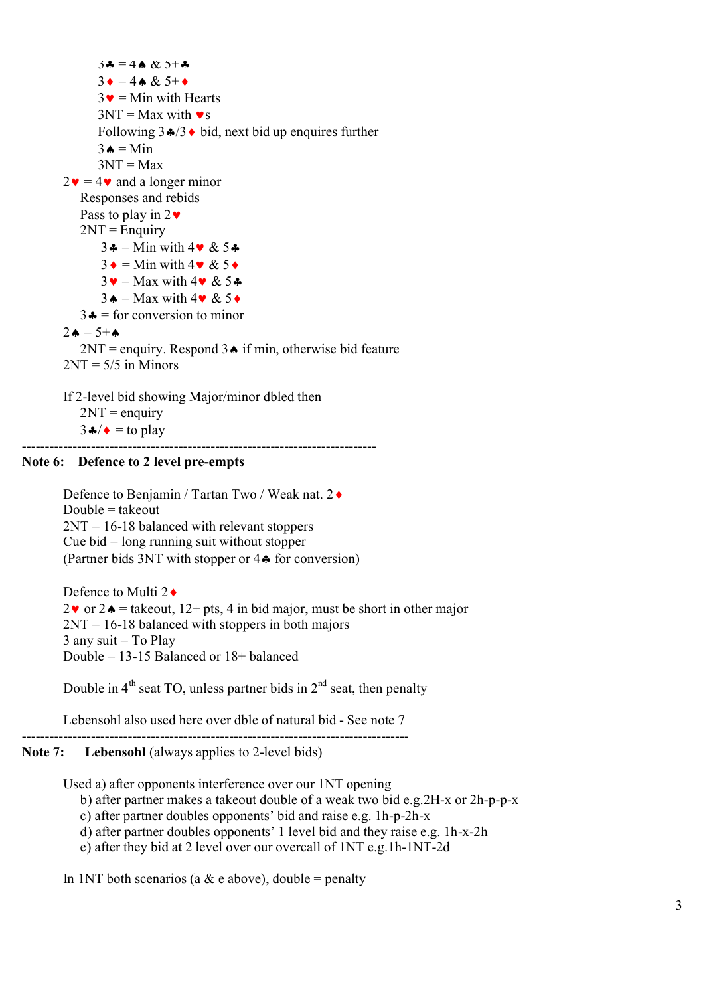$3\clubsuit = 4\spadesuit \& 3\spadesuit\spadesuit$  $3 \bullet = 4 \bullet \& 5^+ \bullet$  $3\bullet$  = Min with Hearts  $3NT = Max with \bullet s$ Following  $3\cdot\sqrt{3} \cdot \text{bid, next bid up enquires further}$  $3 \triangle = \text{Min}$  $3NT = Max$  $2\mathbf{v} = 4\mathbf{v}$  and a longer minor Responses and rebids Pass to play in  $2\blacktriangledown$  $2NT =$ Enquiry  $3\clubsuit$  = Min with  $4\blacktriangledown \& 5\clubsuit$  $3 \cdot =$  Min with  $4 \cdot 8$  5  $\cdot$  $3\mathbf{v} = \text{Max with } 4\mathbf{v} \& 5\clubsuit$  $3 \triangle =$  Max with  $4 \vee 8$  5  $\triangle$  $3\clubsuit$  = for conversion to minor  $2\triangle = 5+A$  $2NT =$  enquiry. Respond  $3\triangle$  if min, otherwise bid feature  $2NT = 5/5$  in Minors If 2-level bid showing Major/minor dbled then

 $2NT =$  enquiry  $3 \cdot 3 \cdot \cdot = \text{to play}$ -----------------------------------------------------------------------------

### **Note 6: Defence to 2 level pre-empts**

Defence to Benjamin / Tartan Two / Weak nat. 2◆ Double  $=$  takeout  $2NT = 16-18$  balanced with relevant stoppers Cue bid = long running suit without stopper (Partner bids 3NT with stopper or 4§ for conversion)

Defence to Multi  $2\bullet$  $2\mathbf{v}$  or  $2\mathbf{A}$  = takeout,  $12 + \text{pts}$ , 4 in bid major, must be short in other major  $2NT = 16-18$  balanced with stoppers in both majors  $3$  any suit = To Play Double = 13-15 Balanced or 18+ balanced

Double in  $4<sup>th</sup>$  seat TO, unless partner bids in  $2<sup>nd</sup>$  seat, then penalty

Lebensohl also used here over dble of natural bid - See note 7

------------------------------------------------------------------------------------

## Note 7: Lebensohl (always applies to 2-level bids)

Used a) after opponents interference over our 1NT opening

b) after partner makes a takeout double of a weak two bid e.g.2H-x or 2h-p-p-x

c) after partner doubles opponents' bid and raise e.g. 1h-p-2h-x

d) after partner doubles opponents' 1 level bid and they raise e.g. 1h-x-2h

e) after they bid at 2 level over our overcall of 1NT e.g.1h-1NT-2d

In 1NT both scenarios (a  $\&$  e above), double = penalty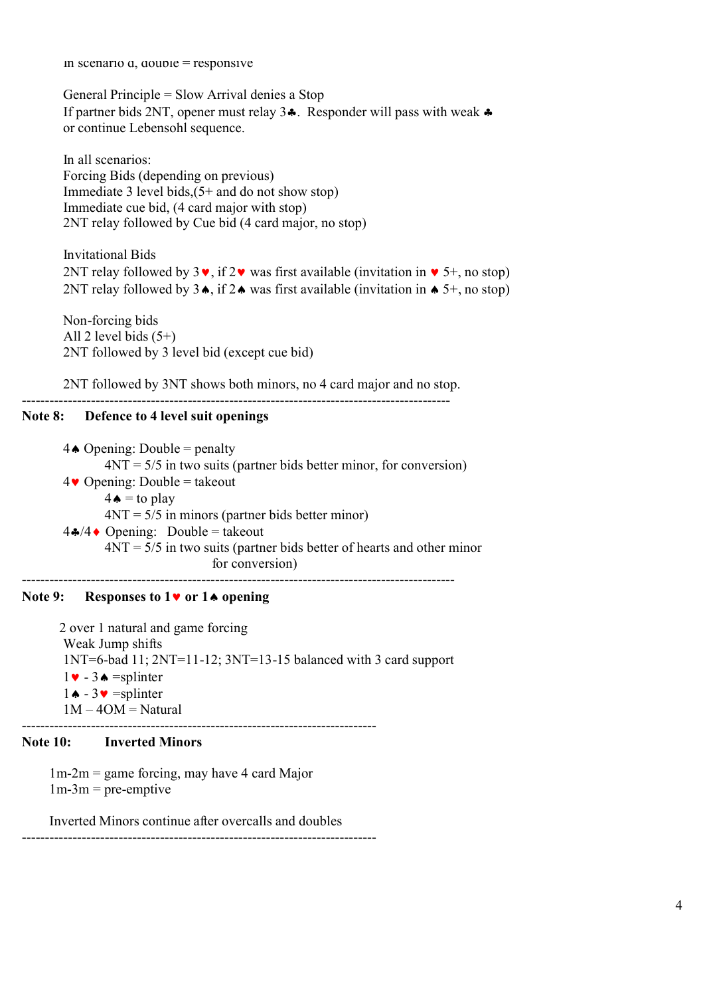In scenario  $a$ ,  $a$ ouble = responsive

General Principle = Slow Arrival denies a Stop If partner bids 2NT, opener must relay  $3\clubsuit$ . Responder will pass with weak  $\clubsuit$ or continue Lebensohl sequence.

In all scenarios: Forcing Bids (depending on previous) Immediate 3 level bids,  $(5+$  and do not show stop) Immediate cue bid, (4 card major with stop) 2NT relay followed by Cue bid (4 card major, no stop)

Invitational Bids 2NT relay followed by  $3\vee$ , if  $2\vee$  was first available (invitation in  $\vee$  5+, no stop) 2NT relay followed by  $3\bullet$ , if  $2\bullet$  was first available (invitation in  $\bullet$  5+, no stop)

Non-forcing bids All 2 level bids  $(5+)$ 2NT followed by 3 level bid (except cue bid)

2NT followed by 3NT shows both minors, no 4 card major and no stop.

---------------------------------------------------------------------------------------------

# **Note 8: Defence to 4 level suit openings**

 $4 \triangle$  Opening: Double = penalty  $4NT = 5/5$  in two suits (partner bids better minor, for conversion)  $4\bullet$  Opening: Double = takeout  $4 \triangle =$  to play  $4NT = 5/5$  in minors (partner bids better minor)  $4\cdot/4 \cdot$  Opening: Double = takeout  $4NT = 5/5$  in two suits (partner bids better of hearts and other minor for conversion) ----------------------------------------------------------------------------------------------

### **Note 9: Responses to 1**© **or 1**ª **opening**

2 over 1 natural and game forcing Weak Jump shifts 1NT=6-bad 11; 2NT=11-12; 3NT=13-15 balanced with 3 card support  $1 \bullet - 3 \bullet = \text{splinter}$  $1 \cdot 3 \cdot 3 \cdot 5$  =splinter  $1M - 4OM = Natural$ 

### **Note 10: Inverted Minors**

1m-2m = game forcing, may have 4 card Major  $1m-3m$  = pre-emptive

Inverted Minors continue after overcalls and doubles